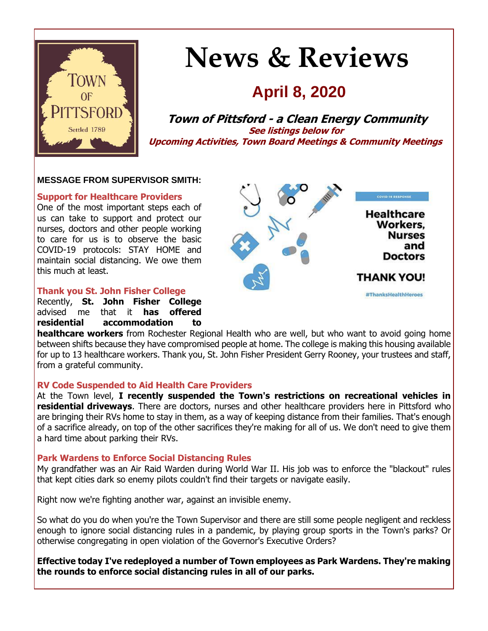

# **News & Reviews**

# **April 8, 2020**

**Town of Pittsford - a Clean Energy Community See listings below for Upcoming Activities, Town Board Meetings & Community Meetings**

#### **MESSAGE FROM SUPERVISOR SMITH:**

#### **Support for Healthcare Providers**

One of the most important steps each of us can take to support and protect our nurses, doctors and other people working to care for us is to observe the basic COVID-19 protocols: STAY HOME and maintain social distancing. We owe them this much at least.



#### **Thank you St. John Fisher College**

Recently, **St. John Fisher College** advised me that it **has offered residential accommodation to** 

**healthcare workers** from Rochester Regional Health who are well, but who want to avoid going home between shifts because they have compromised people at home. The college is making this housing available for up to 13 healthcare workers. Thank you, St. John Fisher President Gerry Rooney, your trustees and staff, from a grateful community.

#### **RV Code Suspended to Aid Health Care Providers**

At the Town level, **I recently suspended the Town's restrictions on recreational vehicles in residential driveways**. There are doctors, nurses and other healthcare providers here in Pittsford who are bringing their RVs home to stay in them, as a way of keeping distance from their families. That's enough of a sacrifice already, on top of the other sacrifices they're making for all of us. We don't need to give them a hard time about parking their RVs.

#### **Park Wardens to Enforce Social Distancing Rules**

My grandfather was an Air Raid Warden during World War II. His job was to enforce the "blackout" rules that kept cities dark so enemy pilots couldn't find their targets or navigate easily.

Right now we're fighting another war, against an invisible enemy.

So what do you do when you're the Town Supervisor and there are still some people negligent and reckless enough to ignore social distancing rules in a pandemic, by playing group sports in the Town's parks? Or otherwise congregating in open violation of the Governor's Executive Orders?

**Effective today I've redeployed a number of Town employees as Park Wardens. They're making the rounds to enforce social distancing rules in all of our parks.**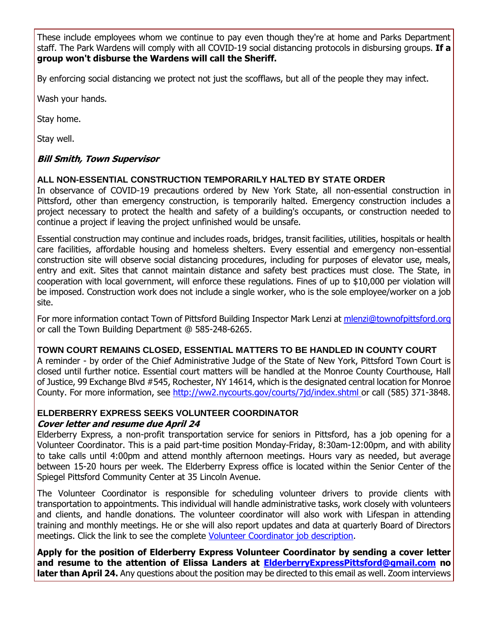These include employees whom we continue to pay even though they're at home and Parks Department staff. The Park Wardens will comply with all COVID-19 social distancing protocols in disbursing groups. **If a group won't disburse the Wardens will call the Sheriff.**

By enforcing social distancing we protect not just the scofflaws, but all of the people they may infect.

Wash your hands.

Stay home.

Stay well.

#### **Bill Smith, Town Supervisor**

#### **ALL NON-ESSENTIAL CONSTRUCTION TEMPORARILY HALTED BY STATE ORDER**

In observance of COVID-19 precautions ordered by New York State, all non-essential construction in Pittsford, other than emergency construction, is temporarily halted. Emergency construction includes a project necessary to protect the health and safety of a building's occupants, or construction needed to continue a project if leaving the project unfinished would be unsafe.

Essential construction may continue and includes roads, bridges, transit facilities, utilities, hospitals or health care facilities, affordable housing and homeless shelters. Every essential and emergency non-essential construction site will observe social distancing procedures, including for purposes of elevator use, meals, entry and exit. Sites that cannot maintain distance and safety best practices must close. The State, in cooperation with local government, will enforce these regulations. Fines of up to \$10,000 per violation will be imposed. Construction work does not include a single worker, who is the sole employee/worker on a job site.

For more information contact Town of Pittsford Building Inspector Mark Lenzi at [mlenzi@townofpittsford.org](mailto:mlenzi@townofpittsford.org?subject=COVID-19%20Construction%20Information) or call the Town Building Department @ 585-248-6265.

#### **TOWN COURT REMAINS CLOSED, ESSENTIAL MATTERS TO BE HANDLED IN COUNTY COURT**

A reminder - by order of the Chief Administrative Judge of the State of New York, Pittsford Town Court is closed until further notice. Essential court matters will be handled at the Monroe County Courthouse, Hall of Justice, 99 Exchange Blvd #545, Rochester, NY 14614, which is the designated central location for Monroe County. For more information, see [http://ww2.nycourts.gov/courts/7jd/index.shtml o](http://r20.rs6.net/tn.jsp?t=8h8mliabb.0.0.iffsuglab.0&id=preview&r=3&p=http%3A%2F%2Fww2.nycourts.gov%2Fcourts%2F7jd%2Findex.shtml)r call (585) 371-3848.

#### **ELDERBERRY EXPRESS SEEKS VOLUNTEER COORDINATOR Cover letter and resume due April 24**

Elderberry Express, a non-profit transportation service for seniors in Pittsford, has a job opening for a Volunteer Coordinator. This is a paid part-time position Monday-Friday, 8:30am-12:00pm, and with ability to take calls until 4:00pm and attend monthly afternoon meetings. Hours vary as needed, but average between 15-20 hours per week. The Elderberry Express office is located within the Senior Center of the Spiegel Pittsford Community Center at 35 Lincoln Avenue.

The Volunteer Coordinator is responsible for scheduling volunteer drivers to provide clients with transportation to appointments. This individual will handle administrative tasks, work closely with volunteers and clients, and handle donations. The volunteer coordinator will also work with Lifespan in attending training and monthly meetings. He or she will also report updates and data at quarterly Board of Directors meetings. Click the link to see the complete [Volunteer Coordinator job description.](http://r20.rs6.net/tn.jsp?t=8h8mliabb.0.0.iffsuglab.0&id=preview&r=3&p=http%3A%2F%2Fwww.townofpittsford.org%2Ffiles%2Fimages%2FElderberry-Express-Vol-Coord-job-posting-040720.pdf)

**Apply for the position of Elderberry Express Volunteer Coordinator by sending a cover letter and resume to the attention of Elissa Landers at [ElderberryExpressPittsford@gmail.com](mailto:ElderberryExpressPittsford@gmail.com?subject=Volunteer%20Coordinator%20position) no later than April 24.** Any questions about the position may be directed to this email as well. Zoom interviews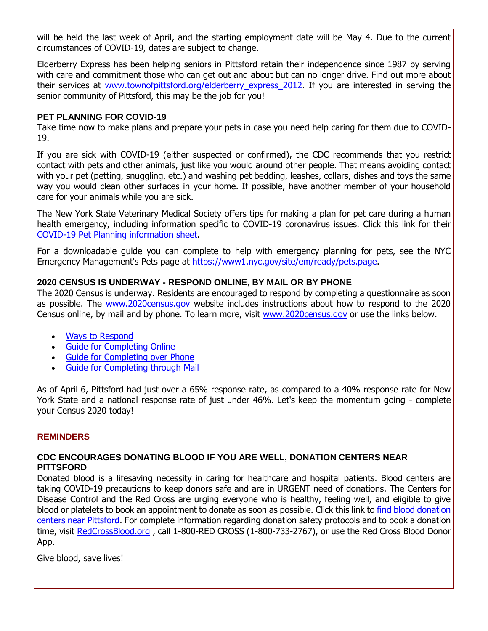will be held the last week of April, and the starting employment date will be May 4. Due to the current circumstances of COVID-19, dates are subject to change.

Elderberry Express has been helping seniors in Pittsford retain their independence since 1987 by serving with care and commitment those who can get out and about but can no longer drive. Find out more about their services at www.townofpittsford.org/elderberry express 2012. If you are interested in serving the senior community of Pittsford, this may be the job for you!

#### **PET PLANNING FOR COVID-19**

Take time now to make plans and prepare your pets in case you need help caring for them due to COVID-19.

If you are sick with COVID-19 (either suspected or confirmed), the CDC recommends that you restrict contact with pets and other animals, just like you would around other people. That means avoiding contact with your pet (petting, snuggling, etc.) and washing pet bedding, leashes, collars, dishes and toys the same way you would clean other surfaces in your home. If possible, have another member of your household care for your animals while you are sick.

The New York State Veterinary Medical Society offers tips for making a plan for pet care during a human health emergency, including information specific to COVID-19 coronavirus issues. Click this link for their [COVID-19 Pet Planning information sheet.](http://r20.rs6.net/tn.jsp?t=8h8mliabb.0.0.iffsuglab.0&id=preview&r=3&p=http%3A%2F%2Fwww.townofpittsford.org%2Ffiles%2Fpublications%2Fpet-planning-for-COVID-19-NYSVMS-040720.pdf)

For a downloadable guide you can complete to help with emergency planning for pets, see the NYC Emergency Management's Pets page at [https://www1.nyc.gov/site/em/ready/pets.page.](http://r20.rs6.net/tn.jsp?t=8h8mliabb.0.0.iffsuglab.0&id=preview&r=3&p=https%3A%2F%2Fwww1.nyc.gov%2Fsite%2Fem%2Fready%2Fpets.page)

#### **2020 CENSUS IS UNDERWAY - RESPOND ONLINE, BY MAIL OR BY PHONE**

The 2020 Census is underway. Residents are encouraged to respond by completing a questionnaire as soon as possible. The [www.2020census.gov](http://r20.rs6.net/tn.jsp?t=8h8mliabb.0.0.iffsuglab.0&id=preview&r=3&p=http%3A%2F%2Fwww.2020census.gov) website includes instructions about how to respond to the 2020 Census online, by mail and by phone. To learn more, visit [www.2020census.gov](http://r20.rs6.net/tn.jsp?t=8h8mliabb.0.0.iffsuglab.0&id=preview&r=3&p=http%3A%2F%2Fwww.2020census.gov) or use the links below.

- [Ways to Respond](http://r20.rs6.net/tn.jsp?t=8h8mliabb.0.0.iffsuglab.0&id=preview&r=3&p=https%3A%2F%2F2020census.gov%2Fen%2Fways-to-respond.html)
- [Guide for Completing Online](http://r20.rs6.net/tn.jsp?t=8h8mliabb.0.0.iffsuglab.0&id=preview&r=3&p=https%3A%2F%2F2020census.gov%2Fen%2Fways-to-respond%2Fresponding-online.html)
- [Guide for Completing over Phone](http://r20.rs6.net/tn.jsp?t=8h8mliabb.0.0.iffsuglab.0&id=preview&r=3&p=https%3A%2F%2F2020census.gov%2Fen%2Fways-to-respond%2Fresponding-by-phone.html)
- [Guide for Completing through Mail](http://r20.rs6.net/tn.jsp?t=8h8mliabb.0.0.iffsuglab.0&id=preview&r=3&p=https%3A%2F%2F2020census.gov%2Fen%2Fways-to-respond%2Fresponding-by-mail.html)

As of April 6, Pittsford had just over a 65% response rate, as compared to a 40% response rate for New York State and a national response rate of just under 46%. Let's keep the momentum going - complete your Census 2020 today!

#### **REMINDERS**

#### **CDC ENCOURAGES DONATING BLOOD IF YOU ARE WELL, DONATION CENTERS NEAR PITTSFORD**

Donated blood is a lifesaving necessity in caring for healthcare and hospital patients. Blood centers are taking COVID-19 precautions to keep donors safe and are in URGENT need of donations. The Centers for Disease Control and the Red Cross are urging everyone who is healthy, feeling well, and eligible to give blood or platelets to book an appointment to donate as soon as possible. Click this link to find blood donation [centers near Pittsford.](http://r20.rs6.net/tn.jsp?t=8h8mliabb.0.0.iffsuglab.0&id=preview&r=3&p=https%3A%2F%2Fwww.redcrossblood.org%2Fgive.html%2Fdrive-results%3Fed%3D04%252F10%252F2020%26order%3DDATE%26range%3D10%26sd%3D03%252F27%252F2020%26zipSponsor%3D14534) For complete information regarding donation safety protocols and to book a donation time, visit [RedCrossBlood.org](http://r20.rs6.net/tn.jsp?t=8h8mliabb.0.0.iffsuglab.0&id=preview&r=3&p=http%3A%2F%2FRedCrossBlood.org), call 1-800-RED CROSS (1-800-733-2767), or use the Red Cross Blood Donor App.

Give blood, save lives!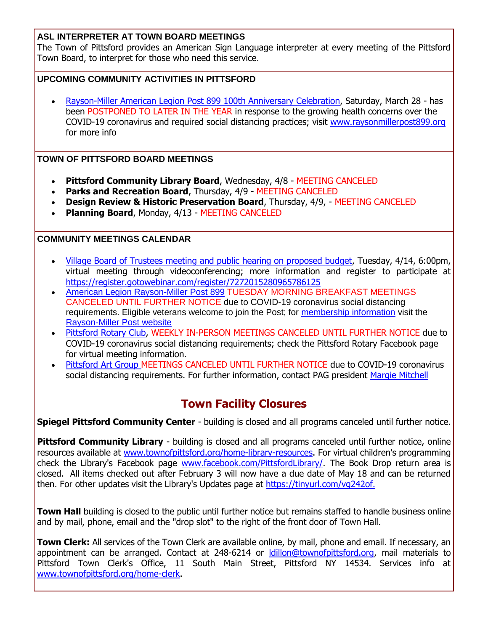#### **ASL INTERPRETER AT TOWN BOARD MEETINGS**

The Town of Pittsford provides an American Sign Language interpreter at every meeting of the Pittsford Town Board, to interpret for those who need this service.

#### **UPCOMING COMMUNITY ACTIVITIES IN PITTSFORD**

 [Rayson-Miller American Legion Post 899 100th Anniversary Celebration,](http://r20.rs6.net/tn.jsp?t=8h8mliabb.0.0.iffsuglab.0&id=preview&r=3&p=http%3A%2F%2Fwww.raysonmillerpost899.org%2F) Saturday, March 28 - has been POSTPONED TO LATER IN THE YEAR in response to the growing health concerns over the COVID-19 coronavirus and required social distancing practices; visit [www.raysonmillerpost899.org](http://r20.rs6.net/tn.jsp?t=8h8mliabb.0.0.iffsuglab.0&id=preview&r=3&p=http%3A%2F%2Fwww.raysonmillerpost899.org) for more info

#### **TOWN OF PITTSFORD BOARD MEETINGS**

- **Pittsford Community Library Board**, Wednesday, 4/8 MEETING CANCELED
- **Parks and Recreation Board**, Thursday, 4/9 MEETING CANCELED
- **Design Review & Historic Preservation Board**, Thursday, 4/9, MEETING CANCELED
- **Planning Board**, Monday, 4/13 MEETING CANCELED

#### **COMMUNITY MEETINGS CALENDAR**

- [Village Board of Trustees meeting and public hearing on proposed budget,](http://www.villageofpittsford.com/) Tuesday, 4/14, 6:00pm, virtual meeting through videoconferencing; more information and register to participate at [https://register.gotowebinar.com/register/7272015280965786125](http://r20.rs6.net/tn.jsp?t=8h8mliabb.0.0.iffsuglab.0&id=preview&r=3&p=https%3A%2F%2Fregister.gotowebinar.com%2Fregister%2F7272015280965786125)
- [American Legion Rayson-Miller Post 899](http://r20.rs6.net/tn.jsp?t=8h8mliabb.0.0.iffsuglab.0&id=preview&r=3&p=http%3A%2F%2Fwww.rayson-millerpost899.org%2F) TUESDAY MORNING BREAKFAST MEETINGS CANCELED UNTIL FURTHER NOTICE due to COVID-19 coronavirus social distancing requirements. Eligible veterans welcome to join the Post; for [membership information](http://r20.rs6.net/tn.jsp?t=8h8mliabb.0.0.iffsuglab.0&id=preview&r=3&p=http%3A%2F%2Fwww.rayson-millerpost899.org%2Fsite%2Fapplication.php) visit the [Rayson-Miller Post website](http://r20.rs6.net/tn.jsp?t=8h8mliabb.0.0.iffsuglab.0&id=preview&r=3&p=http%3A%2F%2Fevents.r20.constantcontact.com%2Fregister%2Fevent%3Fllr%3D4hobslrab%26oeidk%3Da07efravr2hcb992cf5)
- [Pittsford Rotary Club,](http://r20.rs6.net/tn.jsp?t=8h8mliabb.0.0.iffsuglab.0&id=preview&r=3&p=http%3A%2F%2Fwww.pittsfordrotaryclub.org%2F) WEEKLY IN-PERSON MEETINGS CANCELED UNTIL FURTHER NOTICE due to COVID-19 coronavirus social distancing requirements; check the Pittsford Rotary Facebook page for virtual meeting information.
- [Pittsford Art Group M](https://pittsfordartgroup.wordpress.com/)EETINGS CANCELED UNTIL FURTHER NOTICE due to COVID-19 coronavirus social distancing requirements. For further information, contact PAG president [Margie Mitchell](mailto:mhsmitchell@gmail.com?subject=Pittsford%20Art%20Group%20Meetings%20and%20Membership)

### **Town Facility Closures**

**Spiegel Pittsford Community Center** - building is closed and all programs canceled until further notice.

**Pittsford Community Library** - building is closed and all programs canceled until further notice, online resources available at [www.townofpittsford.org/home-library-resources.](http://r20.rs6.net/tn.jsp?t=8h8mliabb.0.0.iffsuglab.0&id=preview&r=3&p=http%3A%2F%2Fwww.townofpittsford.org%2Fhome-library-resources) For virtual children's programming check the Library's Facebook page [www.facebook.com/PittsfordLibrary/.](http://r20.rs6.net/tn.jsp?t=8h8mliabb.0.0.iffsuglab.0&id=preview&r=3&p=http%3A%2F%2Fwww.facebook.com%2FPittsfordLibrary%2F) The Book Drop return area is closed. All items checked out after February 3 will now have a due date of May 18 and can be returned then. For other updates visit the Library's Updates page at [https://tinyurl.com/vg242of.](http://r20.rs6.net/tn.jsp?t=8h8mliabb.0.0.iffsuglab.0&id=preview&r=3&p=https%3A%2F%2Ftinyurl.com%2Fvg242of.)

**Town Hall** building is closed to the public until further notice but remains staffed to handle business online and by mail, phone, email and the "drop slot" to the right of the front door of Town Hall.

**Town Clerk:** All services of the Town Clerk are available online, by mail, phone and email. If necessary, an appointment can be arranged. Contact at 248-6214 or Idillon@townofpittsford.org, mail materials to Pittsford Town Clerk's Office, 11 South Main Street, Pittsford NY 14534. Services info at [www.townofpittsford.org/home-clerk.](http://r20.rs6.net/tn.jsp?t=8h8mliabb.0.0.iffsuglab.0&id=preview&r=3&p=http%3A%2F%2Fwww.townofpittsford.org%2Fhome-clerk)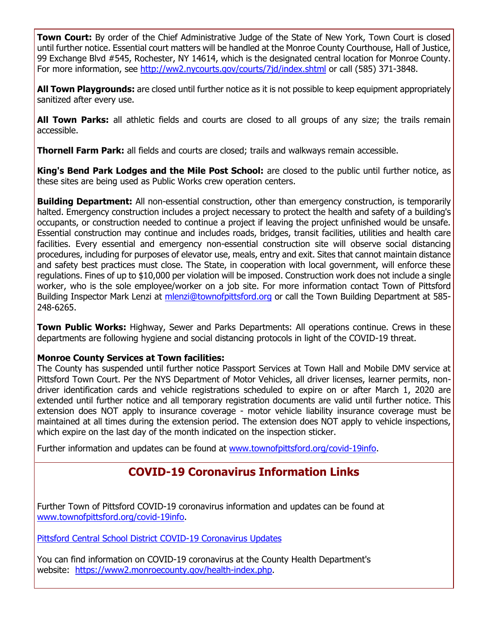**Town Court:** By order of the Chief Administrative Judge of the State of New York, Town Court is closed until further notice. Essential court matters will be handled at the Monroe County Courthouse, Hall of Justice, 99 Exchange Blvd #545, Rochester, NY 14614, which is the designated central location for Monroe County. For more information, see [http://ww2.nycourts.gov/courts/7jd/index.shtml](http://r20.rs6.net/tn.jsp?t=8h8mliabb.0.0.iffsuglab.0&id=preview&r=3&p=http%3A%2F%2Fww2.nycourts.gov%2Fcourts%2F7jd%2Findex.shtml) or call (585) 371-3848.

**All Town Playgrounds:** are closed until further notice as it is not possible to keep equipment appropriately sanitized after every use.

**All Town Parks:** all athletic fields and courts are closed to all groups of any size; the trails remain accessible.

**Thornell Farm Park:** all fields and courts are closed; trails and walkways remain accessible.

**King's Bend Park Lodges and the Mile Post School:** are closed to the public until further notice, as these sites are being used as Public Works crew operation centers.

**Building Department:** All non-essential construction, other than emergency construction, is temporarily halted. Emergency construction includes a project necessary to protect the health and safety of a building's occupants, or construction needed to continue a project if leaving the project unfinished would be unsafe. Essential construction may continue and includes roads, bridges, transit facilities, utilities and health care facilities. Every essential and emergency non-essential construction site will observe social distancing procedures, including for purposes of elevator use, meals, entry and exit. Sites that cannot maintain distance and safety best practices must close. The State, in cooperation with local government, will enforce these regulations. Fines of up to \$10,000 per violation will be imposed. Construction work does not include a single worker, who is the sole employee/worker on a job site. For more information contact Town of Pittsford Building Inspector Mark Lenzi at [mlenzi@townofpittsford.org](mailto:mlenzi@townofpittsford.org?subject=COVID-19%20Construciton%20Information) or call the Town Building Department at 585-248-6265.

**Town Public Works:** Highway, Sewer and Parks Departments: All operations continue. Crews in these departments are following hygiene and social distancing protocols in light of the COVID-19 threat.

#### **Monroe County Services at Town facilities:**

The County has suspended until further notice Passport Services at Town Hall and Mobile DMV service at Pittsford Town Court. Per the NYS Department of Motor Vehicles, all driver licenses, learner permits, nondriver identification cards and vehicle registrations scheduled to expire on or after March 1, 2020 are extended until further notice and all temporary registration documents are valid until further notice. This extension does NOT apply to insurance coverage - motor vehicle liability insurance coverage must be maintained at all times during the extension period. The extension does NOT apply to vehicle inspections, which expire on the last day of the month indicated on the inspection sticker.

Further information and updates can be found at [www.townofpittsford.org/covid-19info.](http://r20.rs6.net/tn.jsp?t=8h8mliabb.0.0.iffsuglab.0&id=preview&r=3&p=http%3A%2F%2Fwww.townofpittsford.org%2Fcovid-19info)

## **COVID-19 Coronavirus Information Links**

Further Town of Pittsford COVID-19 coronavirus information and updates can be found at [www.townofpittsford.org/covid-19info.](http://r20.rs6.net/tn.jsp?t=8h8mliabb.0.0.iffsuglab.0&id=preview&r=3&p=http%3A%2F%2Fwww.townofpittsford.org%2Fcovid-19info)

[Pittsford Central School District COVID-19 Coronavirus Updates](http://r20.rs6.net/tn.jsp?t=8h8mliabb.0.0.iffsuglab.0&id=preview&r=3&p=https%3A%2F%2Fwww.pittsfordschools.org%2FCOVID-19information)

You can find information on COVID-19 coronavirus at the County Health Department's website: [https://www2.monroecounty.gov/health-index.php.](http://r20.rs6.net/tn.jsp?t=8h8mliabb.0.0.iffsuglab.0&id=preview&r=3&p=https%3A%2F%2Fwww2.monroecounty.gov%2Fhealth-index.php)